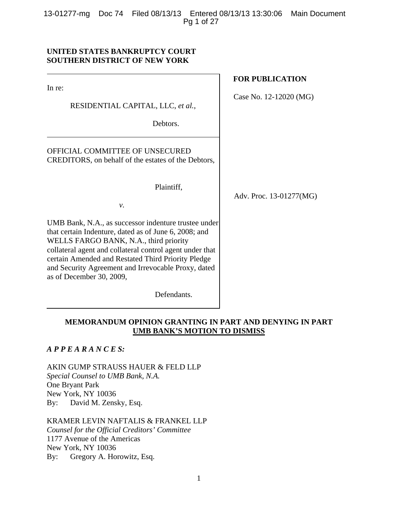13-01277-mg Doc 74 Filed 08/13/13 Entered 08/13/13 13:30:06 Main Document Pg 1 of 27

# **UNITED STATES BANKRUPTCY COURT SOUTHERN DISTRICT OF NEW YORK**

In re:

RESIDENTIAL CAPITAL, LLC, *et al.*,

Debtors.

OFFICIAL COMMITTEE OF UNSECURED CREDITORS, on behalf of the estates of the Debtors,

Plaintiff,

*v.*

UMB Bank, N.A., as successor indenture trustee under that certain Indenture, dated as of June 6, 2008; and WELLS FARGO BANK, N.A., third priority collateral agent and collateral control agent under that certain Amended and Restated Third Priority Pledge and Security Agreement and Irrevocable Proxy, dated as of December 30, 2009,

Defendants.

# **FOR PUBLICATION**

Case No. 12-12020 (MG)

Adv. Proc. 13-01277(MG)

# **MEMORANDUM OPINION GRANTING IN PART AND DENYING IN PART UMB BANK'S MOTION TO DISMISS**

*A P P E A R A N C E S:*

AKIN GUMP STRAUSS HAUER & FELD LLP *Special Counsel to UMB Bank, N.A.*  One Bryant Park New York, NY 10036 By: David M. Zensky, Esq.

KRAMER LEVIN NAFTALIS & FRANKEL LLP *Counsel for the Official Creditors' Committee*  1177 Avenue of the Americas New York, NY 10036 By: Gregory A. Horowitz, Esq.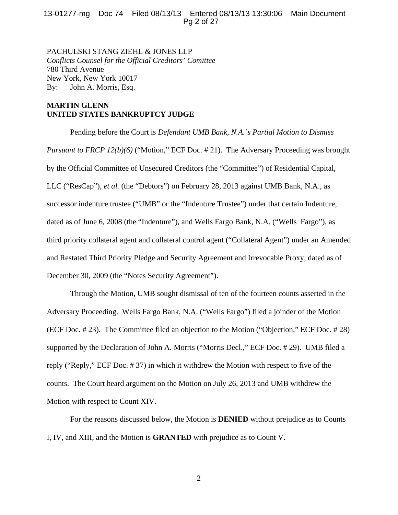# 13-01277-mg Doc 74 Filed 08/13/13 Entered 08/13/13 13:30:06 Main Document Pg 2 of 27

PACHULSKI STANG ZIEHL & JONES LLP *Conflicts Counsel for the Official Creditors' Comittee* 780 Third Avenue New York, New York 10017 By: John A. Morris, Esq.

# **MARTIN GLENN UNITED STATES BANKRUPTCY JUDGE**

Pending before the Court is *Defendant UMB Bank, N.A.'s Partial Motion to Dismiss Pursuant to FRCP 12(b)(6)* ("Motion," ECF Doc. # 21). The Adversary Proceeding was brought by the Official Committee of Unsecured Creditors (the "Committee") of Residential Capital, LLC ("ResCap"), *et al.* (the "Debtors") on February 28, 2013 against UMB Bank, N.A., as successor indenture trustee ("UMB" or the "Indenture Trustee") under that certain Indenture, dated as of June 6, 2008 (the "Indenture"), and Wells Fargo Bank, N.A. ("Wells Fargo"), as third priority collateral agent and collateral control agent ("Collateral Agent") under an Amended and Restated Third Priority Pledge and Security Agreement and Irrevocable Proxy, dated as of December 30, 2009 (the "Notes Security Agreement").

Through the Motion, UMB sought dismissal of ten of the fourteen counts asserted in the Adversary Proceeding. Wells Fargo Bank, N.A. ("Wells Fargo") filed a joinder of the Motion (ECF Doc. # 23). The Committee filed an objection to the Motion ("Objection," ECF Doc. # 28) supported by the Declaration of John A. Morris ("Morris Decl.," ECF Doc. # 29). UMB filed a reply ("Reply," ECF Doc. # 37) in which it withdrew the Motion with respect to five of the counts. The Court heard argument on the Motion on July 26, 2013 and UMB withdrew the Motion with respect to Count XIV.

For the reasons discussed below, the Motion is **DENIED** without prejudice as to Counts I, IV, and XIII, and the Motion is **GRANTED** with prejudice as to Count V.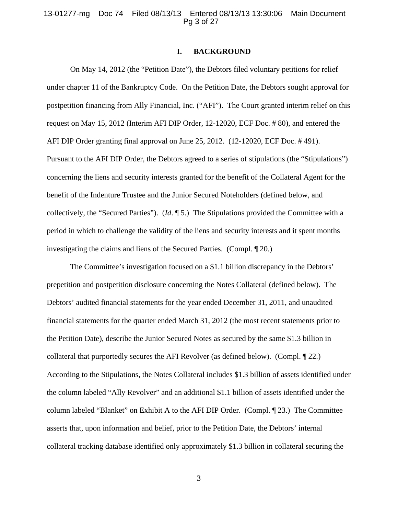#### 13-01277-mg Doc 74 Filed 08/13/13 Entered 08/13/13 13:30:06 Main Document Pg 3 of 27

# **I. BACKGROUND**

On May 14, 2012 (the "Petition Date"), the Debtors filed voluntary petitions for relief under chapter 11 of the Bankruptcy Code. On the Petition Date, the Debtors sought approval for postpetition financing from Ally Financial, Inc. ("AFI"). The Court granted interim relief on this request on May 15, 2012 (Interim AFI DIP Order, 12-12020, ECF Doc. # 80), and entered the AFI DIP Order granting final approval on June 25, 2012. (12-12020, ECF Doc. # 491). Pursuant to the AFI DIP Order, the Debtors agreed to a series of stipulations (the "Stipulations") concerning the liens and security interests granted for the benefit of the Collateral Agent for the benefit of the Indenture Trustee and the Junior Secured Noteholders (defined below, and collectively, the "Secured Parties"). (*Id*. ¶ 5.) The Stipulations provided the Committee with a period in which to challenge the validity of the liens and security interests and it spent months investigating the claims and liens of the Secured Parties. (Compl. ¶ 20.)

The Committee's investigation focused on a \$1.1 billion discrepancy in the Debtors' prepetition and postpetition disclosure concerning the Notes Collateral (defined below). The Debtors' audited financial statements for the year ended December 31, 2011, and unaudited financial statements for the quarter ended March 31, 2012 (the most recent statements prior to the Petition Date), describe the Junior Secured Notes as secured by the same \$1.3 billion in collateral that purportedly secures the AFI Revolver (as defined below). (Compl. ¶ 22.) According to the Stipulations, the Notes Collateral includes \$1.3 billion of assets identified under the column labeled "Ally Revolver" and an additional \$1.1 billion of assets identified under the column labeled "Blanket" on Exhibit A to the AFI DIP Order. (Compl. ¶ 23.) The Committee asserts that, upon information and belief, prior to the Petition Date, the Debtors' internal collateral tracking database identified only approximately \$1.3 billion in collateral securing the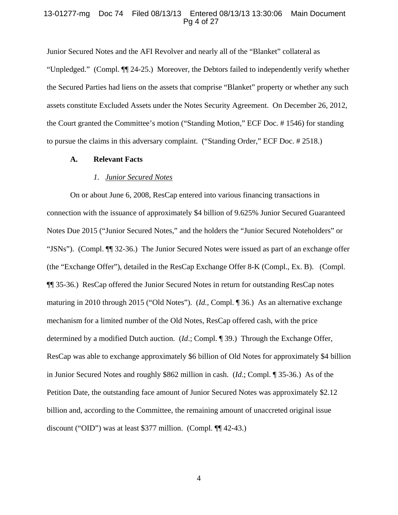#### 13-01277-mg Doc 74 Filed 08/13/13 Entered 08/13/13 13:30:06 Main Document Pg 4 of 27

Junior Secured Notes and the AFI Revolver and nearly all of the "Blanket" collateral as "Unpledged." (Compl. ¶¶ 24-25.) Moreover, the Debtors failed to independently verify whether the Secured Parties had liens on the assets that comprise "Blanket" property or whether any such assets constitute Excluded Assets under the Notes Security Agreement. On December 26, 2012, the Court granted the Committee's motion ("Standing Motion," ECF Doc. # 1546) for standing to pursue the claims in this adversary complaint. ("Standing Order," ECF Doc. # 2518.)

#### **A. Relevant Facts**

# *1. Junior Secured Notes*

On or about June 6, 2008, ResCap entered into various financing transactions in connection with the issuance of approximately \$4 billion of 9.625% Junior Secured Guaranteed Notes Due 2015 ("Junior Secured Notes," and the holders the "Junior Secured Noteholders" or "JSNs"). (Compl. ¶¶ 32-36.) The Junior Secured Notes were issued as part of an exchange offer (the "Exchange Offer"), detailed in the ResCap Exchange Offer 8-K (Compl., Ex. B). (Compl. ¶¶ 35-36.) ResCap offered the Junior Secured Notes in return for outstanding ResCap notes maturing in 2010 through 2015 ("Old Notes"). (*Id.,* Compl. ¶ 36.) As an alternative exchange mechanism for a limited number of the Old Notes, ResCap offered cash, with the price determined by a modified Dutch auction. (*Id*.; Compl. ¶ 39.) Through the Exchange Offer, ResCap was able to exchange approximately \$6 billion of Old Notes for approximately \$4 billion in Junior Secured Notes and roughly \$862 million in cash. (*Id*.; Compl. ¶ 35-36.) As of the Petition Date, the outstanding face amount of Junior Secured Notes was approximately \$2.12 billion and, according to the Committee, the remaining amount of unaccreted original issue discount ("OID") was at least \$377 million. (Compl. ¶¶ 42-43.)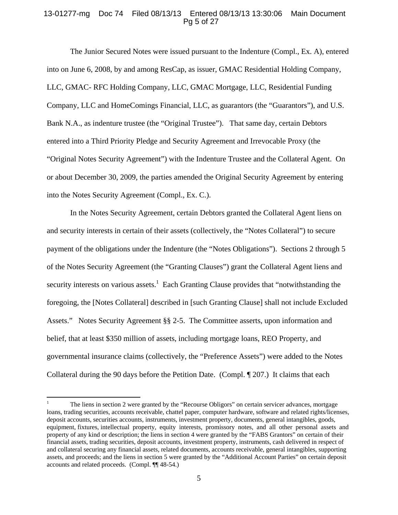## 13-01277-mg Doc 74 Filed 08/13/13 Entered 08/13/13 13:30:06 Main Document Pg 5 of 27

The Junior Secured Notes were issued pursuant to the Indenture (Compl., Ex. A), entered into on June 6, 2008, by and among ResCap, as issuer, GMAC Residential Holding Company, LLC, GMAC- RFC Holding Company, LLC, GMAC Mortgage, LLC, Residential Funding Company, LLC and HomeComings Financial, LLC, as guarantors (the "Guarantors"), and U.S. Bank N.A., as indenture trustee (the "Original Trustee"). That same day, certain Debtors entered into a Third Priority Pledge and Security Agreement and Irrevocable Proxy (the "Original Notes Security Agreement") with the Indenture Trustee and the Collateral Agent. On or about December 30, 2009, the parties amended the Original Security Agreement by entering into the Notes Security Agreement (Compl., Ex. C.).

In the Notes Security Agreement, certain Debtors granted the Collateral Agent liens on and security interests in certain of their assets (collectively, the "Notes Collateral") to secure payment of the obligations under the Indenture (the "Notes Obligations"). Sections 2 through 5 of the Notes Security Agreement (the "Granting Clauses") grant the Collateral Agent liens and security interests on various assets.<sup>1</sup> Each Granting Clause provides that "notwithstanding the foregoing, the [Notes Collateral] described in [such Granting Clause] shall not include Excluded Assets." Notes Security Agreement §§ 2-5. The Committee asserts, upon information and belief, that at least \$350 million of assets, including mortgage loans, REO Property, and governmental insurance claims (collectively, the "Preference Assets") were added to the Notes Collateral during the 90 days before the Petition Date. (Compl. ¶ 207.) It claims that each

 $\overline{a}$ 

<sup>1</sup> The liens in section 2 were granted by the "Recourse Obligors" on certain servicer advances, mortgage loans, trading securities, accounts receivable, chattel paper, computer hardware, software and related rights/licenses, deposit accounts, securities accounts, instruments, investment property, documents, general intangibles, goods, equipment, fixtures, intellectual property, equity interests, promissory notes, and all other personal assets and property of any kind or description; the liens in section 4 were granted by the "FABS Grantors" on certain of their financial assets, trading securities, deposit accounts, investment property, instruments, cash delivered in respect of and collateral securing any financial assets, related documents, accounts receivable, general intangibles, supporting assets, and proceeds; and the liens in section 5 were granted by the "Additional Account Parties" on certain deposit accounts and related proceeds. (Compl. ¶¶ 48-54.)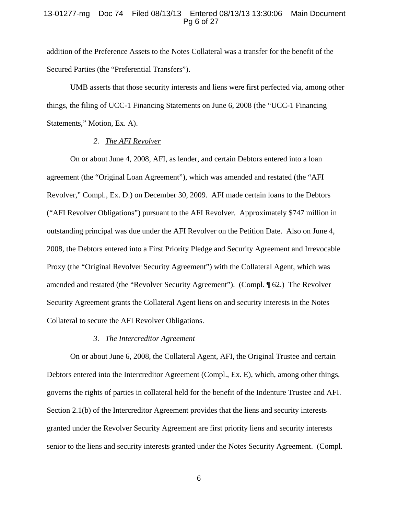## 13-01277-mg Doc 74 Filed 08/13/13 Entered 08/13/13 13:30:06 Main Document Pg 6 of 27

addition of the Preference Assets to the Notes Collateral was a transfer for the benefit of the Secured Parties (the "Preferential Transfers").

UMB asserts that those security interests and liens were first perfected via, among other things, the filing of UCC-1 Financing Statements on June 6, 2008 (the "UCC-1 Financing Statements," Motion, Ex. A).

#### *2. The AFI Revolver*

On or about June 4, 2008, AFI, as lender, and certain Debtors entered into a loan agreement (the "Original Loan Agreement"), which was amended and restated (the "AFI Revolver," Compl., Ex. D.) on December 30, 2009. AFI made certain loans to the Debtors ("AFI Revolver Obligations") pursuant to the AFI Revolver. Approximately \$747 million in outstanding principal was due under the AFI Revolver on the Petition Date. Also on June 4, 2008, the Debtors entered into a First Priority Pledge and Security Agreement and Irrevocable Proxy (the "Original Revolver Security Agreement") with the Collateral Agent, which was amended and restated (the "Revolver Security Agreement"). (Compl. ¶ 62.) The Revolver Security Agreement grants the Collateral Agent liens on and security interests in the Notes Collateral to secure the AFI Revolver Obligations.

# *3. The Intercreditor Agreement*

On or about June 6, 2008, the Collateral Agent, AFI, the Original Trustee and certain Debtors entered into the Intercreditor Agreement (Compl., Ex. E), which, among other things, governs the rights of parties in collateral held for the benefit of the Indenture Trustee and AFI. Section 2.1(b) of the Intercreditor Agreement provides that the liens and security interests granted under the Revolver Security Agreement are first priority liens and security interests senior to the liens and security interests granted under the Notes Security Agreement. (Compl.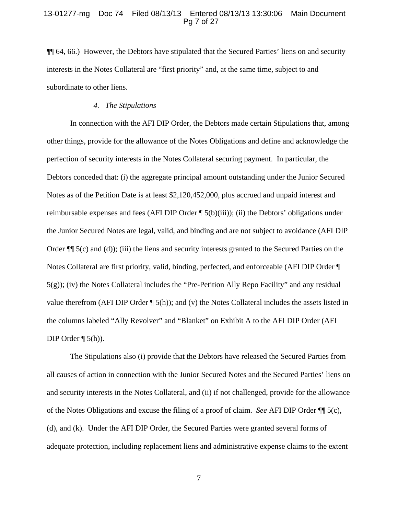#### 13-01277-mg Doc 74 Filed 08/13/13 Entered 08/13/13 13:30:06 Main Document Pg 7 of 27

¶¶ 64, 66.) However, the Debtors have stipulated that the Secured Parties' liens on and security interests in the Notes Collateral are "first priority" and, at the same time, subject to and subordinate to other liens.

## *4. The Stipulations*

In connection with the AFI DIP Order, the Debtors made certain Stipulations that, among other things, provide for the allowance of the Notes Obligations and define and acknowledge the perfection of security interests in the Notes Collateral securing payment. In particular, the Debtors conceded that: (i) the aggregate principal amount outstanding under the Junior Secured Notes as of the Petition Date is at least \$2,120,452,000, plus accrued and unpaid interest and reimbursable expenses and fees (AFI DIP Order ¶ 5(b)(iii)); (ii) the Debtors' obligations under the Junior Secured Notes are legal, valid, and binding and are not subject to avoidance (AFI DIP Order  $\P$ [ 5(c) and (d)); (iii) the liens and security interests granted to the Secured Parties on the Notes Collateral are first priority, valid, binding, perfected, and enforceable (AFI DIP Order ¶ 5(g)); (iv) the Notes Collateral includes the "Pre-Petition Ally Repo Facility" and any residual value therefrom (AFI DIP Order ¶ 5(h)); and (v) the Notes Collateral includes the assets listed in the columns labeled "Ally Revolver" and "Blanket" on Exhibit A to the AFI DIP Order (AFI DIP Order  $\P$  5(h)).

The Stipulations also (i) provide that the Debtors have released the Secured Parties from all causes of action in connection with the Junior Secured Notes and the Secured Parties' liens on and security interests in the Notes Collateral, and (ii) if not challenged, provide for the allowance of the Notes Obligations and excuse the filing of a proof of claim. *See* AFI DIP Order ¶¶ 5(c), (d), and (k). Under the AFI DIP Order, the Secured Parties were granted several forms of adequate protection, including replacement liens and administrative expense claims to the extent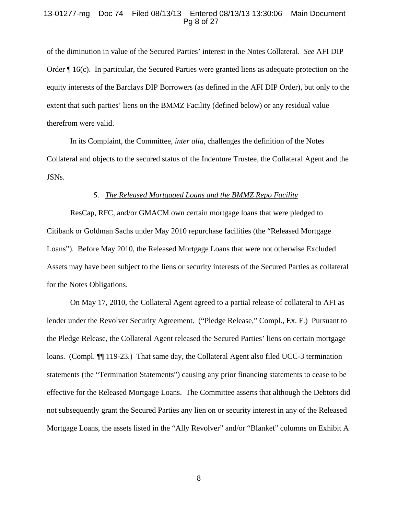## 13-01277-mg Doc 74 Filed 08/13/13 Entered 08/13/13 13:30:06 Main Document Pg 8 of 27

of the diminution in value of the Secured Parties' interest in the Notes Collateral. *See* AFI DIP Order ¶ 16(c). In particular, the Secured Parties were granted liens as adequate protection on the equity interests of the Barclays DIP Borrowers (as defined in the AFI DIP Order), but only to the extent that such parties' liens on the BMMZ Facility (defined below) or any residual value therefrom were valid.

In its Complaint, the Committee, *inter alia*, challenges the definition of the Notes Collateral and objects to the secured status of the Indenture Trustee, the Collateral Agent and the JSNs.

## *5. The Released Mortgaged Loans and the BMMZ Repo Facility*

ResCap, RFC, and/or GMACM own certain mortgage loans that were pledged to Citibank or Goldman Sachs under May 2010 repurchase facilities (the "Released Mortgage Loans"). Before May 2010, the Released Mortgage Loans that were not otherwise Excluded Assets may have been subject to the liens or security interests of the Secured Parties as collateral for the Notes Obligations.

On May 17, 2010, the Collateral Agent agreed to a partial release of collateral to AFI as lender under the Revolver Security Agreement. ("Pledge Release," Compl., Ex. F.) Pursuant to the Pledge Release, the Collateral Agent released the Secured Parties' liens on certain mortgage loans. (Compl.  $\P$  119-23.) That same day, the Collateral Agent also filed UCC-3 termination statements (the "Termination Statements") causing any prior financing statements to cease to be effective for the Released Mortgage Loans. The Committee asserts that although the Debtors did not subsequently grant the Secured Parties any lien on or security interest in any of the Released Mortgage Loans, the assets listed in the "Ally Revolver" and/or "Blanket" columns on Exhibit A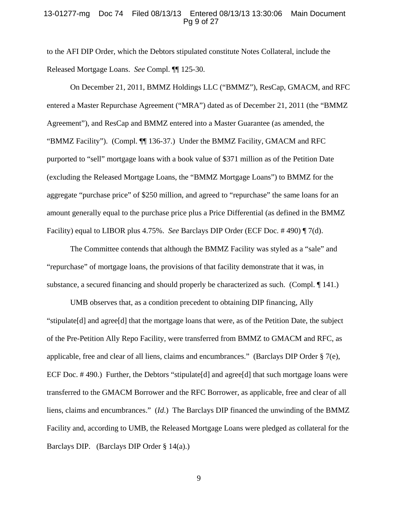## 13-01277-mg Doc 74 Filed 08/13/13 Entered 08/13/13 13:30:06 Main Document Pg 9 of 27

to the AFI DIP Order, which the Debtors stipulated constitute Notes Collateral, include the Released Mortgage Loans. *See* Compl. ¶¶ 125-30.

On December 21, 2011, BMMZ Holdings LLC ("BMMZ"), ResCap, GMACM, and RFC entered a Master Repurchase Agreement ("MRA") dated as of December 21, 2011 (the "BMMZ Agreement"), and ResCap and BMMZ entered into a Master Guarantee (as amended, the "BMMZ Facility"). (Compl. ¶¶ 136-37.) Under the BMMZ Facility, GMACM and RFC purported to "sell" mortgage loans with a book value of \$371 million as of the Petition Date (excluding the Released Mortgage Loans, the "BMMZ Mortgage Loans") to BMMZ for the aggregate "purchase price" of \$250 million, and agreed to "repurchase" the same loans for an amount generally equal to the purchase price plus a Price Differential (as defined in the BMMZ Facility) equal to LIBOR plus 4.75%. *See* Barclays DIP Order (ECF Doc. # 490) ¶ 7(d).

The Committee contends that although the BMMZ Facility was styled as a "sale" and "repurchase" of mortgage loans, the provisions of that facility demonstrate that it was, in substance, a secured financing and should properly be characterized as such. (Compl. ¶ 141.)

UMB observes that, as a condition precedent to obtaining DIP financing, Ally "stipulate[d] and agree[d] that the mortgage loans that were, as of the Petition Date, the subject of the Pre-Petition Ally Repo Facility, were transferred from BMMZ to GMACM and RFC, as applicable, free and clear of all liens, claims and encumbrances." (Barclays DIP Order § 7(e), ECF Doc. #490.) Further, the Debtors "stipulate<sup>[d]</sup> and agree<sup>[d]</sup> that such mortgage loans were transferred to the GMACM Borrower and the RFC Borrower, as applicable, free and clear of all liens, claims and encumbrances." (*Id*.) The Barclays DIP financed the unwinding of the BMMZ Facility and, according to UMB, the Released Mortgage Loans were pledged as collateral for the Barclays DIP. (Barclays DIP Order § 14(a).)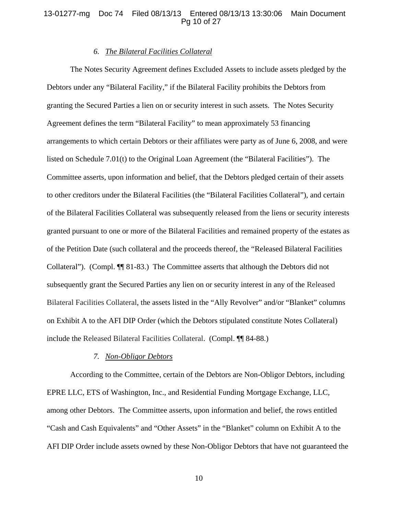## 13-01277-mg Doc 74 Filed 08/13/13 Entered 08/13/13 13:30:06 Main Document Pg 10 of 27

## *6. The Bilateral Facilities Collateral*

The Notes Security Agreement defines Excluded Assets to include assets pledged by the Debtors under any "Bilateral Facility," if the Bilateral Facility prohibits the Debtors from granting the Secured Parties a lien on or security interest in such assets. The Notes Security Agreement defines the term "Bilateral Facility" to mean approximately 53 financing arrangements to which certain Debtors or their affiliates were party as of June 6, 2008, and were listed on Schedule 7.01(t) to the Original Loan Agreement (the "Bilateral Facilities"). The Committee asserts, upon information and belief, that the Debtors pledged certain of their assets to other creditors under the Bilateral Facilities (the "Bilateral Facilities Collateral"), and certain of the Bilateral Facilities Collateral was subsequently released from the liens or security interests granted pursuant to one or more of the Bilateral Facilities and remained property of the estates as of the Petition Date (such collateral and the proceeds thereof, the "Released Bilateral Facilities Collateral"). (Compl. ¶¶ 81-83.) The Committee asserts that although the Debtors did not subsequently grant the Secured Parties any lien on or security interest in any of the Released Bilateral Facilities Collateral, the assets listed in the "Ally Revolver" and/or "Blanket" columns on Exhibit A to the AFI DIP Order (which the Debtors stipulated constitute Notes Collateral) include the Released Bilateral Facilities Collateral. (Compl. ¶¶ 84-88.)

## *7. Non-Obligor Debtors*

According to the Committee, certain of the Debtors are Non-Obligor Debtors, including EPRE LLC, ETS of Washington, Inc., and Residential Funding Mortgage Exchange, LLC, among other Debtors. The Committee asserts, upon information and belief, the rows entitled "Cash and Cash Equivalents" and "Other Assets" in the "Blanket" column on Exhibit A to the AFI DIP Order include assets owned by these Non-Obligor Debtors that have not guaranteed the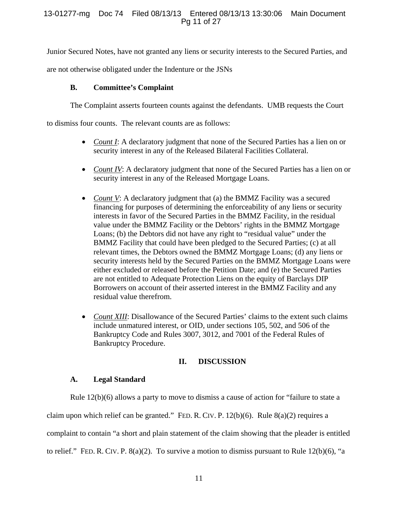# 13-01277-mg Doc 74 Filed 08/13/13 Entered 08/13/13 13:30:06 Main Document Pg 11 of 27

Junior Secured Notes, have not granted any liens or security interests to the Secured Parties, and

are not otherwise obligated under the Indenture or the JSNs

# **B. Committee's Complaint**

The Complaint asserts fourteen counts against the defendants. UMB requests the Court

to dismiss four counts. The relevant counts are as follows:

- *Count I*: A declaratory judgment that none of the Secured Parties has a lien on or security interest in any of the Released Bilateral Facilities Collateral.
- *Count IV*: A declaratory judgment that none of the Secured Parties has a lien on or security interest in any of the Released Mortgage Loans.
- *Count V*: A declaratory judgment that (a) the BMMZ Facility was a secured financing for purposes of determining the enforceability of any liens or security interests in favor of the Secured Parties in the BMMZ Facility, in the residual value under the BMMZ Facility or the Debtors' rights in the BMMZ Mortgage Loans; (b) the Debtors did not have any right to "residual value" under the BMMZ Facility that could have been pledged to the Secured Parties; (c) at all relevant times, the Debtors owned the BMMZ Mortgage Loans; (d) any liens or security interests held by the Secured Parties on the BMMZ Mortgage Loans were either excluded or released before the Petition Date; and (e) the Secured Parties are not entitled to Adequate Protection Liens on the equity of Barclays DIP Borrowers on account of their asserted interest in the BMMZ Facility and any residual value therefrom.
- *Count XIII*: Disallowance of the Secured Parties' claims to the extent such claims include unmatured interest, or OID, under sections 105, 502, and 506 of the Bankruptcy Code and Rules 3007, 3012, and 7001 of the Federal Rules of Bankruptcy Procedure.

# **II. DISCUSSION**

# **A. Legal Standard**

Rule 12(b)(6) allows a party to move to dismiss a cause of action for "failure to state a claim upon which relief can be granted." FED. R. CIV. P. 12(b)(6). Rule 8(a)(2) requires a complaint to contain "a short and plain statement of the claim showing that the pleader is entitled to relief." FED. R. CIV. P. 8(a)(2). To survive a motion to dismiss pursuant to Rule 12(b)(6), "a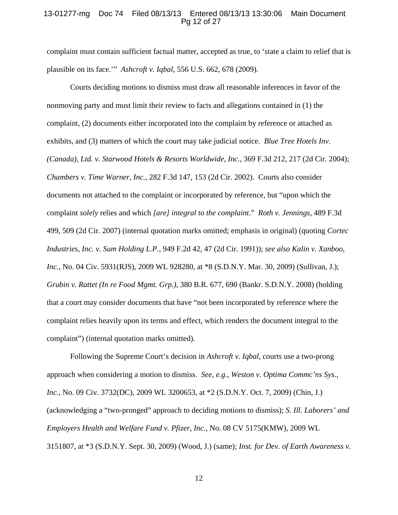#### 13-01277-mg Doc 74 Filed 08/13/13 Entered 08/13/13 13:30:06 Main Document Pg 12 of 27

complaint must contain sufficient factual matter, accepted as true, to 'state a claim to relief that is plausible on its face.'" *Ashcroft v. Iqbal*, 556 U.S. 662, 678 (2009).

Courts deciding motions to dismiss must draw all reasonable inferences in favor of the nonmoving party and must limit their review to facts and allegations contained in (1) the complaint, (2) documents either incorporated into the complaint by reference or attached as exhibits, and (3) matters of which the court may take judicial notice. *Blue Tree Hotels Inv. (Canada), Ltd. v. Starwood Hotels & Resorts Worldwide, Inc.*, 369 F.3d 212, 217 (2d Cir. 2004); *Chambers v. Time Warner, Inc.*, 282 F.3d 147, 153 (2d Cir. 2002). Courts also consider documents not attached to the complaint or incorporated by reference, but "upon which the complaint *solely* relies and which *[are] integral to the complaint*." *Roth v. Jennings*, 489 F.3d 499, 509 (2d Cir. 2007) (internal quotation marks omitted; emphasis in original) (quoting *Cortec Industries, Inc. v. Sum Holding L.P.*, 949 F.2d 42, 47 (2d Cir. 1991)); *see also Kalin v. Xanboo, Inc.*, No. 04 Civ. 5931(RJS), 2009 WL 928280, at \*8 (S.D.N.Y. Mar. 30, 2009) (Sullivan, J.); *Grubin v. Rattet (In re Food Mgmt. Grp.)*, 380 B.R. 677, 690 (Bankr. S.D.N.Y. 2008) (holding that a court may consider documents that have "not been incorporated by reference where the complaint relies heavily upon its terms and effect, which renders the document integral to the complaint") (internal quotation marks omitted).

Following the Supreme Court's decision in *Ashcroft v. Iqbal*, courts use a two-prong approach when considering a motion to dismiss. *See, e.g.*, *Weston v. Optima Commc'ns Sys., Inc.*, No. 09 Civ. 3732(DC), 2009 WL 3200653, at \*2 (S.D.N.Y. Oct. 7, 2009) (Chin, J.) (acknowledging a "two-pronged" approach to deciding motions to dismiss); *S. Ill. Laborers' and Employers Health and Welfare Fund v. Pfizer, Inc.*, No. 08 CV 5175(KMW), 2009 WL 3151807, at \*3 (S.D.N.Y. Sept. 30, 2009) (Wood, J.) (same); *Inst. for Dev. of Earth Awareness v.*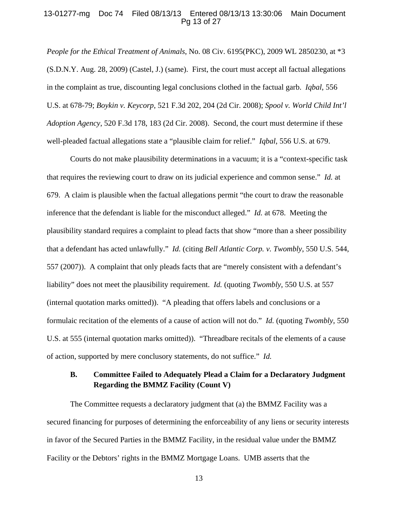#### 13-01277-mg Doc 74 Filed 08/13/13 Entered 08/13/13 13:30:06 Main Document Pg 13 of 27

*People for the Ethical Treatment of Animals*, No. 08 Civ. 6195(PKC), 2009 WL 2850230, at \*3 (S.D.N.Y. Aug. 28, 2009) (Castel, J.) (same). First, the court must accept all factual allegations in the complaint as true, discounting legal conclusions clothed in the factual garb. *Iqbal*, 556 U.S. at 678-79; *Boykin v. Keycorp*, 521 F.3d 202, 204 (2d Cir. 2008); *Spool v. World Child Int'l Adoption Agency*, 520 F.3d 178, 183 (2d Cir. 2008). Second, the court must determine if these well-pleaded factual allegations state a "plausible claim for relief." *Iqbal*, 556 U.S. at 679.

Courts do not make plausibility determinations in a vacuum; it is a "context-specific task that requires the reviewing court to draw on its judicial experience and common sense." *Id.* at 679. A claim is plausible when the factual allegations permit "the court to draw the reasonable inference that the defendant is liable for the misconduct alleged." *Id.* at 678. Meeting the plausibility standard requires a complaint to plead facts that show "more than a sheer possibility that a defendant has acted unlawfully." *Id.* (citing *Bell Atlantic Corp. v. Twombly*, 550 U.S. 544, 557 (2007)). A complaint that only pleads facts that are "merely consistent with a defendant's liability" does not meet the plausibility requirement. *Id.* (quoting *Twombly*, 550 U.S. at 557 (internal quotation marks omitted)). "A pleading that offers labels and conclusions or a formulaic recitation of the elements of a cause of action will not do." *Id.* (quoting *Twombly*, 550 U.S. at 555 (internal quotation marks omitted)). "Threadbare recitals of the elements of a cause of action, supported by mere conclusory statements, do not suffice." *Id.* 

# **B. Committee Failed to Adequately Plead a Claim for a Declaratory Judgment Regarding the BMMZ Facility (Count V)**

The Committee requests a declaratory judgment that (a) the BMMZ Facility was a secured financing for purposes of determining the enforceability of any liens or security interests in favor of the Secured Parties in the BMMZ Facility, in the residual value under the BMMZ Facility or the Debtors' rights in the BMMZ Mortgage Loans. UMB asserts that the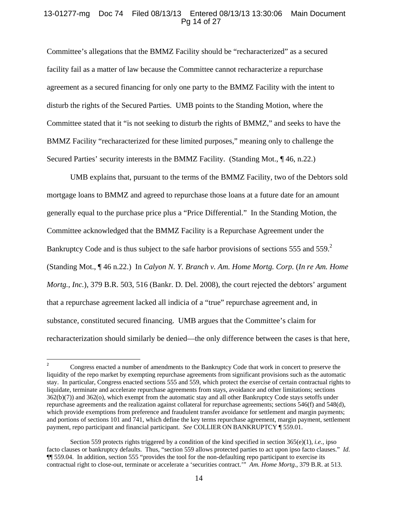# 13-01277-mg Doc 74 Filed 08/13/13 Entered 08/13/13 13:30:06 Main Document Pg 14 of 27

Committee's allegations that the BMMZ Facility should be "recharacterized" as a secured facility fail as a matter of law because the Committee cannot recharacterize a repurchase agreement as a secured financing for only one party to the BMMZ Facility with the intent to disturb the rights of the Secured Parties. UMB points to the Standing Motion, where the Committee stated that it "is not seeking to disturb the rights of BMMZ," and seeks to have the BMMZ Facility "recharacterized for these limited purposes," meaning only to challenge the Secured Parties' security interests in the BMMZ Facility. (Standing Mot., ¶ 46, n.22.)

UMB explains that, pursuant to the terms of the BMMZ Facility, two of the Debtors sold mortgage loans to BMMZ and agreed to repurchase those loans at a future date for an amount generally equal to the purchase price plus a "Price Differential." In the Standing Motion, the Committee acknowledged that the BMMZ Facility is a Repurchase Agreement under the Bankruptcy Code and is thus subject to the safe harbor provisions of sections 555 and 559. $2$ (Standing Mot., ¶ 46 n.22.) In *Calyon N. Y. Branch v. Am. Home Mortg. Corp.* (*In re Am. Home Mortg., Inc.*), 379 B.R. 503, 516 (Bankr. D. Del. 2008), the court rejected the debtors' argument that a repurchase agreement lacked all indicia of a "true" repurchase agreement and, in substance, constituted secured financing. UMB argues that the Committee's claim for recharacterization should similarly be denied—the only difference between the cases is that here,

 $\overline{2}$ <sup>2</sup> Congress enacted a number of amendments to the Bankruptcy Code that work in concert to preserve the liquidity of the repo market by exempting repurchase agreements from significant provisions such as the automatic stay. In particular, Congress enacted sections 555 and 559, which protect the exercise of certain contractual rights to liquidate, terminate and accelerate repurchase agreements from stays, avoidance and other limitations; sections 362(b)(7)) and 362(o), which exempt from the automatic stay and all other Bankruptcy Code stays setoffs under repurchase agreements and the realization against collateral for repurchase agreements; sections 546(f) and 548(d), which provide exemptions from preference and fraudulent transfer avoidance for settlement and margin payments; and portions of sections 101 and 741, which define the key terms repurchase agreement, margin payment, settlement payment, repo participant and financial participant. *See* COLLIER ON BANKRUPTCY ¶ 559.01.

Section 559 protects rights triggered by a condition of the kind specified in section 365(e)(1), *i.e.,* ipso facto clauses or bankruptcy defaults. Thus, "section 559 allows protected parties to act upon ipso facto clauses." *Id.* ¶¶ 559.04. In addition, section 555 "provides the tool for the non-defaulting repo participant to exercise its contractual right to close-out, terminate or accelerate a 'securities contract.'" *Am. Home Mortg*., 379 B.R. at 513.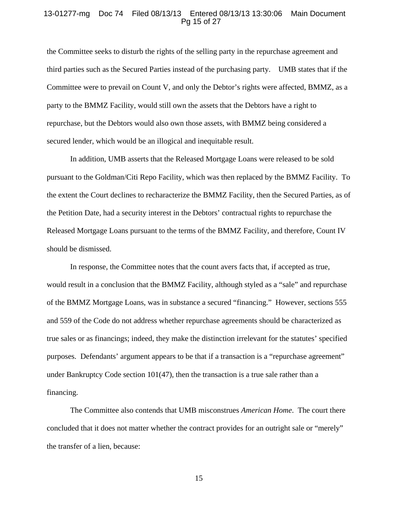## 13-01277-mg Doc 74 Filed 08/13/13 Entered 08/13/13 13:30:06 Main Document Pg 15 of 27

the Committee seeks to disturb the rights of the selling party in the repurchase agreement and third parties such as the Secured Parties instead of the purchasing party. UMB states that if the Committee were to prevail on Count V, and only the Debtor's rights were affected, BMMZ, as a party to the BMMZ Facility, would still own the assets that the Debtors have a right to repurchase, but the Debtors would also own those assets, with BMMZ being considered a secured lender, which would be an illogical and inequitable result.

In addition, UMB asserts that the Released Mortgage Loans were released to be sold pursuant to the Goldman/Citi Repo Facility, which was then replaced by the BMMZ Facility. To the extent the Court declines to recharacterize the BMMZ Facility, then the Secured Parties, as of the Petition Date, had a security interest in the Debtors' contractual rights to repurchase the Released Mortgage Loans pursuant to the terms of the BMMZ Facility, and therefore, Count IV should be dismissed.

In response, the Committee notes that the count avers facts that, if accepted as true, would result in a conclusion that the BMMZ Facility, although styled as a "sale" and repurchase of the BMMZ Mortgage Loans, was in substance a secured "financing." However, sections 555 and 559 of the Code do not address whether repurchase agreements should be characterized as true sales or as financings; indeed, they make the distinction irrelevant for the statutes' specified purposes. Defendants' argument appears to be that if a transaction is a "repurchase agreement" under Bankruptcy Code section 101(47), then the transaction is a true sale rather than a financing.

The Committee also contends that UMB misconstrues *American Home*. The court there concluded that it does not matter whether the contract provides for an outright sale or "merely" the transfer of a lien, because: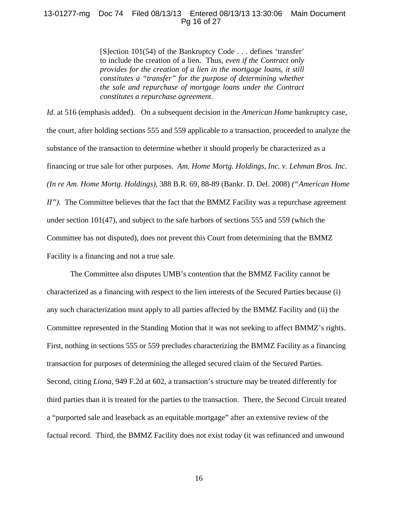# 13-01277-mg Doc 74 Filed 08/13/13 Entered 08/13/13 13:30:06 Main Document Pg 16 of 27

[S]ection 101(54) of the Bankruptcy Code . . . defines 'transfer' to include the creation of a lien. Thus*, even if the Contract only provides for the creation of a lien in the mortgage loans, it still constitutes a "transfer" for the purpose of determining whether the sale and repurchase of mortgage loans under the Contract constitutes a repurchase agreement.*

*Id*. at 516 (emphasis added). On a subsequent decision in the *American Home* bankruptcy case, the court, after holding sections 555 and 559 applicable to a transaction, proceeded to analyze the substance of the transaction to determine whether it should properly be characterized as a financing or true sale for other purposes. *Am. Home Mortg. Holdings, Inc. v. Lehman Bros. Inc. (In re Am. Home Mortg. Holdings),* 388 B.R. 69, 88-89 (Bankr. D. Del. 2008) *("American Home II"*). The Committee believes that the fact that the BMMZ Facility was a repurchase agreement under section 101(47), and subject to the safe harbors of sections 555 and 559 (which the Committee has not disputed), does not prevent this Court from determining that the BMMZ Facility is a financing and not a true sale.

The Committee also disputes UMB's contention that the BMMZ Facility cannot be characterized as a financing with respect to the lien interests of the Secured Parties because (i) any such characterization must apply to all parties affected by the BMMZ Facility and (ii) the Committee represented in the Standing Motion that it was not seeking to affect BMMZ's rights. First, nothing in sections 555 or 559 precludes characterizing the BMMZ Facility as a financing transaction for purposes of determining the alleged secured claim of the Secured Parties. Second, citing *Liona,* 949 F.2d at 602, a transaction's structure may be treated differently for third parties than it is treated for the parties to the transaction. There, the Second Circuit treated a "purported sale and leaseback as an equitable mortgage" after an extensive review of the factual record. Third, the BMMZ Facility does not exist today (it was refinanced and unwound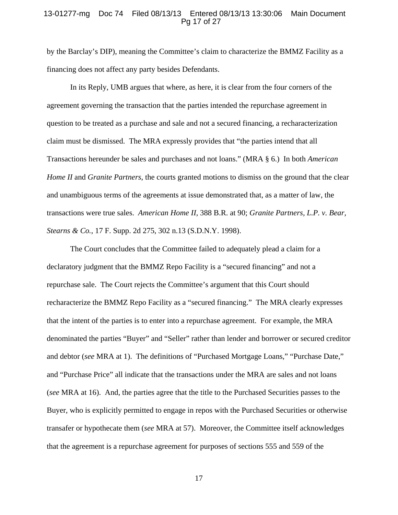#### 13-01277-mg Doc 74 Filed 08/13/13 Entered 08/13/13 13:30:06 Main Document Pg 17 of 27

by the Barclay's DIP), meaning the Committee's claim to characterize the BMMZ Facility as a financing does not affect any party besides Defendants.

In its Reply, UMB argues that where, as here, it is clear from the four corners of the agreement governing the transaction that the parties intended the repurchase agreement in question to be treated as a purchase and sale and not a secured financing, a recharacterization claim must be dismissed. The MRA expressly provides that "the parties intend that all Transactions hereunder be sales and purchases and not loans." (MRA § 6.) In both *American Home II* and *Granite Partners*, the courts granted motions to dismiss on the ground that the clear and unambiguous terms of the agreements at issue demonstrated that, as a matter of law, the transactions were true sales. *American Home II,* 388 B.R. at 90; *Granite Partners, L.P. v. Bear, Stearns & Co.*, 17 F. Supp. 2d 275, 302 n.13 (S.D.N.Y. 1998).

The Court concludes that the Committee failed to adequately plead a claim for a declaratory judgment that the BMMZ Repo Facility is a "secured financing" and not a repurchase sale. The Court rejects the Committee's argument that this Court should recharacterize the BMMZ Repo Facility as a "secured financing." The MRA clearly expresses that the intent of the parties is to enter into a repurchase agreement. For example, the MRA denominated the parties "Buyer" and "Seller" rather than lender and borrower or secured creditor and debtor (*see* MRA at 1). The definitions of "Purchased Mortgage Loans," "Purchase Date," and "Purchase Price" all indicate that the transactions under the MRA are sales and not loans (*see* MRA at 16). And, the parties agree that the title to the Purchased Securities passes to the Buyer, who is explicitly permitted to engage in repos with the Purchased Securities or otherwise transafer or hypothecate them (*see* MRA at 57). Moreover, the Committee itself acknowledges that the agreement is a repurchase agreement for purposes of sections 555 and 559 of the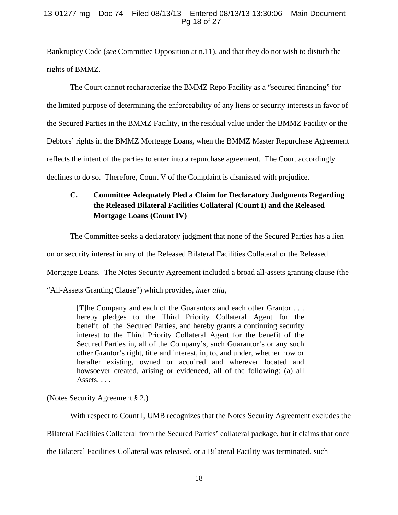# 13-01277-mg Doc 74 Filed 08/13/13 Entered 08/13/13 13:30:06 Main Document Pg 18 of 27

Bankruptcy Code (*see* Committee Opposition at n.11), and that they do not wish to disturb the rights of BMMZ.

The Court cannot recharacterize the BMMZ Repo Facility as a "secured financing" for the limited purpose of determining the enforceability of any liens or security interests in favor of the Secured Parties in the BMMZ Facility, in the residual value under the BMMZ Facility or the Debtors' rights in the BMMZ Mortgage Loans, when the BMMZ Master Repurchase Agreement reflects the intent of the parties to enter into a repurchase agreement. The Court accordingly declines to do so. Therefore, Count V of the Complaint is dismissed with prejudice.

# **C. Committee Adequately Pled a Claim for Declaratory Judgments Regarding the Released Bilateral Facilities Collateral (Count I) and the Released Mortgage Loans (Count IV)**

The Committee seeks a declaratory judgment that none of the Secured Parties has a lien

on or security interest in any of the Released Bilateral Facilities Collateral or the Released

Mortgage Loans. The Notes Security Agreement included a broad all-assets granting clause (the

"All-Assets Granting Clause") which provides, *inter alia*,

[T]he Company and each of the Guarantors and each other Grantor . . . hereby pledges to the Third Priority Collateral Agent for the benefit of the Secured Parties, and hereby grants a continuing security interest to the Third Priority Collateral Agent for the benefit of the Secured Parties in, all of the Company's, such Guarantor's or any such other Grantor's right, title and interest, in, to, and under, whether now or herafter existing, owned or acquired and wherever located and howsoever created, arising or evidenced, all of the following: (a) all Assets. . . .

(Notes Security Agreement § 2.)

With respect to Count I, UMB recognizes that the Notes Security Agreement excludes the Bilateral Facilities Collateral from the Secured Parties' collateral package, but it claims that once the Bilateral Facilities Collateral was released, or a Bilateral Facility was terminated, such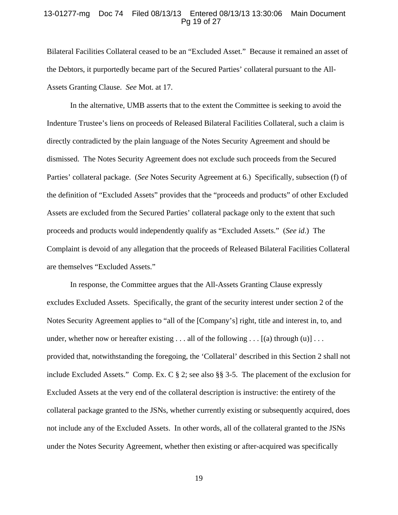#### 13-01277-mg Doc 74 Filed 08/13/13 Entered 08/13/13 13:30:06 Main Document Pg 19 of 27

Bilateral Facilities Collateral ceased to be an "Excluded Asset." Because it remained an asset of the Debtors, it purportedly became part of the Secured Parties' collateral pursuant to the All-Assets Granting Clause. *See* Mot. at 17.

In the alternative, UMB asserts that to the extent the Committee is seeking to avoid the Indenture Trustee's liens on proceeds of Released Bilateral Facilities Collateral, such a claim is directly contradicted by the plain language of the Notes Security Agreement and should be dismissed. The Notes Security Agreement does not exclude such proceeds from the Secured Parties' collateral package. (*See* Notes Security Agreement at 6.) Specifically, subsection (f) of the definition of "Excluded Assets" provides that the "proceeds and products" of other Excluded Assets are excluded from the Secured Parties' collateral package only to the extent that such proceeds and products would independently qualify as "Excluded Assets." (*See id*.) The Complaint is devoid of any allegation that the proceeds of Released Bilateral Facilities Collateral are themselves "Excluded Assets."

In response, the Committee argues that the All-Assets Granting Clause expressly excludes Excluded Assets. Specifically, the grant of the security interest under section 2 of the Notes Security Agreement applies to "all of the [Company's] right, title and interest in, to, and under, whether now or hereafter existing  $\dots$  all of the following  $\dots$  [(a) through (u)]  $\dots$ provided that, notwithstanding the foregoing, the 'Collateral' described in this Section 2 shall not include Excluded Assets." Comp. Ex. C § 2; see also §§ 3-5. The placement of the exclusion for Excluded Assets at the very end of the collateral description is instructive: the entirety of the collateral package granted to the JSNs, whether currently existing or subsequently acquired, does not include any of the Excluded Assets. In other words, all of the collateral granted to the JSNs under the Notes Security Agreement, whether then existing or after-acquired was specifically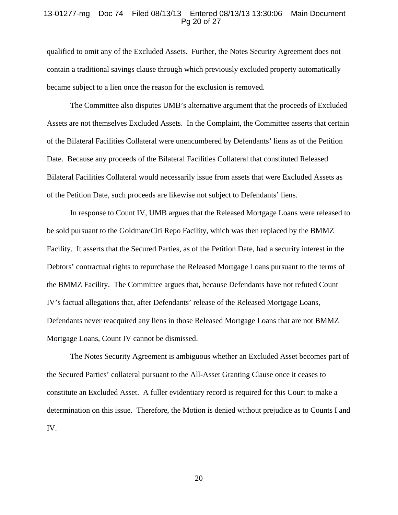#### 13-01277-mg Doc 74 Filed 08/13/13 Entered 08/13/13 13:30:06 Main Document Pg 20 of 27

qualified to omit any of the Excluded Assets. Further, the Notes Security Agreement does not contain a traditional savings clause through which previously excluded property automatically became subject to a lien once the reason for the exclusion is removed.

The Committee also disputes UMB's alternative argument that the proceeds of Excluded Assets are not themselves Excluded Assets. In the Complaint, the Committee asserts that certain of the Bilateral Facilities Collateral were unencumbered by Defendants' liens as of the Petition Date. Because any proceeds of the Bilateral Facilities Collateral that constituted Released Bilateral Facilities Collateral would necessarily issue from assets that were Excluded Assets as of the Petition Date, such proceeds are likewise not subject to Defendants' liens.

In response to Count IV, UMB argues that the Released Mortgage Loans were released to be sold pursuant to the Goldman/Citi Repo Facility, which was then replaced by the BMMZ Facility. It asserts that the Secured Parties, as of the Petition Date, had a security interest in the Debtors' contractual rights to repurchase the Released Mortgage Loans pursuant to the terms of the BMMZ Facility. The Committee argues that, because Defendants have not refuted Count IV's factual allegations that, after Defendants' release of the Released Mortgage Loans, Defendants never reacquired any liens in those Released Mortgage Loans that are not BMMZ Mortgage Loans, Count IV cannot be dismissed.

The Notes Security Agreement is ambiguous whether an Excluded Asset becomes part of the Secured Parties' collateral pursuant to the All-Asset Granting Clause once it ceases to constitute an Excluded Asset. A fuller evidentiary record is required for this Court to make a determination on this issue. Therefore, the Motion is denied without prejudice as to Counts I and IV.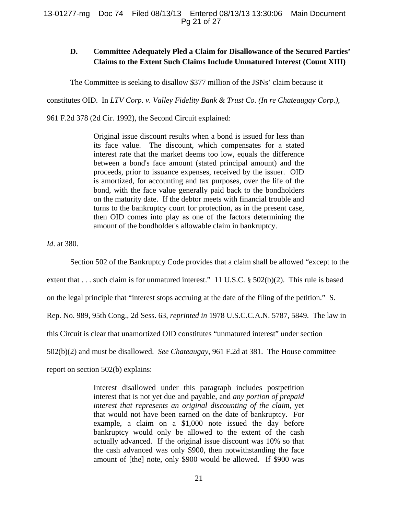# **D. Committee Adequately Pled a Claim for Disallowance of the Secured Parties' Claims to the Extent Such Claims Include Unmatured Interest (Count XIII)**

The Committee is seeking to disallow \$377 million of the JSNs' claim because it

constitutes OID. In *LTV Corp. v. Valley Fidelity Bank & Trust Co. (In re Chateaugay Corp.)*,

961 F.2d 378 (2d Cir. 1992), the Second Circuit explained:

Original issue discount results when a bond is issued for less than its face value. The discount, which compensates for a stated interest rate that the market deems too low, equals the difference between a bond's face amount (stated principal amount) and the proceeds, prior to issuance expenses, received by the issuer. OID is amortized, for accounting and tax purposes, over the life of the bond, with the face value generally paid back to the bondholders on the maturity date. If the debtor meets with financial trouble and turns to the bankruptcy court for protection, as in the present case, then OID comes into play as one of the factors determining the amount of the bondholder's allowable claim in bankruptcy.

*Id*. at 380.

Section 502 of the Bankruptcy Code provides that a claim shall be allowed "except to the

extent that . . . such claim is for unmatured interest." 11 U.S.C. § 502(b)(2). This rule is based

on the legal principle that "interest stops accruing at the date of the filing of the petition." S.

Rep. No. 989, 95th Cong., 2d Sess. 63, *reprinted in* 1978 U.S.C.C.A.N. 5787, 5849. The law in

this Circuit is clear that unamortized OID constitutes "unmatured interest" under section

502(b)(2) and must be disallowed. *See Chateaugay*, 961 F.2d at 381. The House committee

report on section 502(b) explains:

Interest disallowed under this paragraph includes postpetition interest that is not yet due and payable, and *any portion of prepaid interest that represents an original discounting of the claim*, yet that would not have been earned on the date of bankruptcy. For example, a claim on a \$1,000 note issued the day before bankruptcy would only be allowed to the extent of the cash actually advanced. If the original issue discount was 10% so that the cash advanced was only \$900, then notwithstanding the face amount of [the] note, only \$900 would be allowed. If \$900 was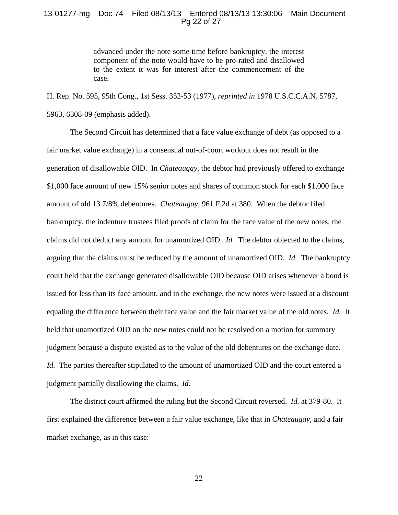# 13-01277-mg Doc 74 Filed 08/13/13 Entered 08/13/13 13:30:06 Main Document Pg 22 of 27

advanced under the note some time before bankruptcy, the interest component of the note would have to be pro-rated and disallowed to the extent it was for interest after the commencement of the case.

H. Rep. No. 595, 95th Cong., 1st Sess. 352-53 (1977), *reprinted in* 1978 U.S.C.C.A.N. 5787, 5963, 6308-09 (emphasis added).

The Second Circuit has determined that a face value exchange of debt (as opposed to a fair market value exchange) in a consensual out-of-court workout does not result in the generation of disallowable OID. In *Chateaugay,* the debtor had previously offered to exchange \$1,000 face amount of new 15% senior notes and shares of common stock for each \$1,000 face amount of old 13 7/8% debentures. *Chateaugay*, 961 F.2d at 380.When the debtor filed bankruptcy, the indenture trustees filed proofs of claim for the face value of the new notes; the claims did not deduct any amount for unamortized OID. *Id.* The debtor objected to the claims, arguing that the claims must be reduced by the amount of unamortized OID. *Id.* The bankruptcy court held that the exchange generated disallowable OID because OID arises whenever a bond is issued for less than its face amount, and in the exchange, the new notes were issued at a discount equaling the difference between their face value and the fair market value of the old notes. *Id.* It held that unamortized OID on the new notes could not be resolved on a motion for summary judgment because a dispute existed as to the value of the old debentures on the exchange date. *Id.* The parties thereafter stipulated to the amount of unamortized OID and the court entered a judgment partially disallowing the claims. *Id.*

The district court affirmed the ruling but the Second Circuit reversed. *Id.* at 379-80. It first explained the difference between a fair value exchange, like that in *Chateaugay*, and a fair market exchange, as in this case: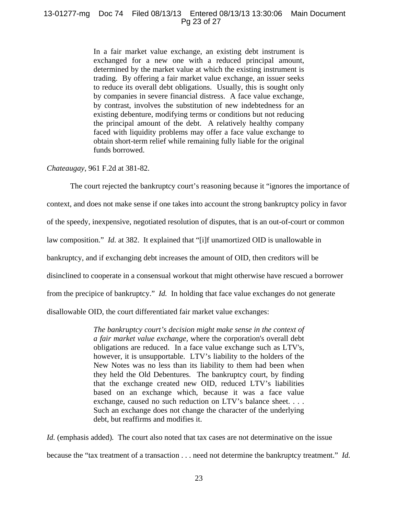## 13-01277-mg Doc 74 Filed 08/13/13 Entered 08/13/13 13:30:06 Main Document Pg 23 of 27

In a fair market value exchange, an existing debt instrument is exchanged for a new one with a reduced principal amount, determined by the market value at which the existing instrument is trading. By offering a fair market value exchange, an issuer seeks to reduce its overall debt obligations. Usually, this is sought only by companies in severe financial distress. A face value exchange, by contrast, involves the substitution of new indebtedness for an existing debenture, modifying terms or conditions but not reducing the principal amount of the debt. A relatively healthy company faced with liquidity problems may offer a face value exchange to obtain short-term relief while remaining fully liable for the original funds borrowed.

*Chateaugay*, 961 F.2d at 381-82.

The court rejected the bankruptcy court's reasoning because it "ignores the importance of context, and does not make sense if one takes into account the strong bankruptcy policy in favor of the speedy, inexpensive, negotiated resolution of disputes, that is an out-of-court or common law composition." *Id.* at 382. It explained that "[i]f unamortized OID is unallowable in bankruptcy, and if exchanging debt increases the amount of OID, then creditors will be disinclined to cooperate in a consensual workout that might otherwise have rescued a borrower from the precipice of bankruptcy." *Id.* In holding that face value exchanges do not generate disallowable OID, the court differentiated fair market value exchanges:

> *The bankruptcy court's decision might make sense in the context of a fair market value exchange,* where the corporation's overall debt obligations are reduced. In a face value exchange such as LTV's, however, it is unsupportable. LTV's liability to the holders of the New Notes was no less than its liability to them had been when they held the Old Debentures. The bankruptcy court, by finding that the exchange created new OID, reduced LTV's liabilities based on an exchange which, because it was a face value exchange, caused no such reduction on LTV's balance sheet. . . . Such an exchange does not change the character of the underlying debt, but reaffirms and modifies it.

*Id.* (emphasis added). The court also noted that tax cases are not determinative on the issue because the "tax treatment of a transaction . . . need not determine the bankruptcy treatment." *Id.*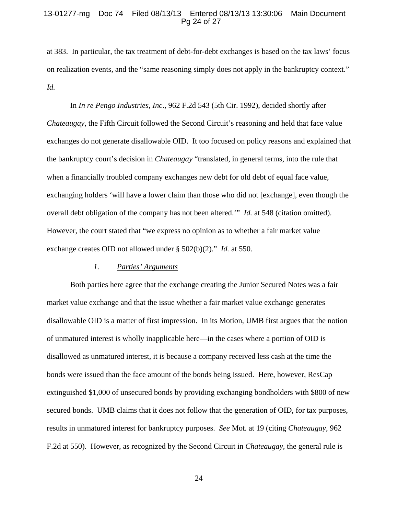## 13-01277-mg Doc 74 Filed 08/13/13 Entered 08/13/13 13:30:06 Main Document Pg 24 of 27

at 383. In particular, the tax treatment of debt-for-debt exchanges is based on the tax laws' focus on realization events, and the "same reasoning simply does not apply in the bankruptcy context." *Id.*

In *In re Pengo Industries, Inc*., 962 F.2d 543 (5th Cir. 1992), decided shortly after *Chateaugay*, the Fifth Circuit followed the Second Circuit's reasoning and held that face value exchanges do not generate disallowable OID. It too focused on policy reasons and explained that the bankruptcy court's decision in *Chateaugay* "translated, in general terms, into the rule that when a financially troubled company exchanges new debt for old debt of equal face value, exchanging holders 'will have a lower claim than those who did not [exchange], even though the overall debt obligation of the company has not been altered.'" *Id.* at 548 (citation omitted). However, the court stated that "we express no opinion as to whether a fair market value exchange creates OID not allowed under § 502(b)(2)." *Id.* at 550.

# *1. Parties' Arguments*

Both parties here agree that the exchange creating the Junior Secured Notes was a fair market value exchange and that the issue whether a fair market value exchange generates disallowable OID is a matter of first impression. In its Motion, UMB first argues that the notion of unmatured interest is wholly inapplicable here—in the cases where a portion of OID is disallowed as unmatured interest, it is because a company received less cash at the time the bonds were issued than the face amount of the bonds being issued. Here, however, ResCap extinguished \$1,000 of unsecured bonds by providing exchanging bondholders with \$800 of new secured bonds. UMB claims that it does not follow that the generation of OID, for tax purposes, results in unmatured interest for bankruptcy purposes. *See* Mot. at 19 (citing *Chateaugay*, 962 F.2d at 550). However, as recognized by the Second Circuit in *Chateaugay,* the general rule is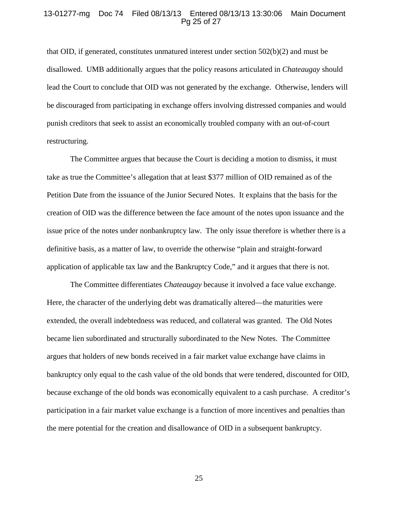#### 13-01277-mg Doc 74 Filed 08/13/13 Entered 08/13/13 13:30:06 Main Document Pg 25 of 27

that OID, if generated, constitutes unmatured interest under section 502(b)(2) and must be disallowed. UMB additionally argues that the policy reasons articulated in *Chateaugay* should lead the Court to conclude that OID was not generated by the exchange. Otherwise, lenders will be discouraged from participating in exchange offers involving distressed companies and would punish creditors that seek to assist an economically troubled company with an out-of-court restructuring.

The Committee argues that because the Court is deciding a motion to dismiss, it must take as true the Committee's allegation that at least \$377 million of OID remained as of the Petition Date from the issuance of the Junior Secured Notes. It explains that the basis for the creation of OID was the difference between the face amount of the notes upon issuance and the issue price of the notes under nonbankruptcy law. The only issue therefore is whether there is a definitive basis, as a matter of law, to override the otherwise "plain and straight-forward application of applicable tax law and the Bankruptcy Code," and it argues that there is not.

The Committee differentiates *Chateaugay* because it involved a face value exchange. Here, the character of the underlying debt was dramatically altered—the maturities were extended, the overall indebtedness was reduced, and collateral was granted. The Old Notes became lien subordinated and structurally subordinated to the New Notes. The Committee argues that holders of new bonds received in a fair market value exchange have claims in bankruptcy only equal to the cash value of the old bonds that were tendered, discounted for OID, because exchange of the old bonds was economically equivalent to a cash purchase. A creditor's participation in a fair market value exchange is a function of more incentives and penalties than the mere potential for the creation and disallowance of OID in a subsequent bankruptcy.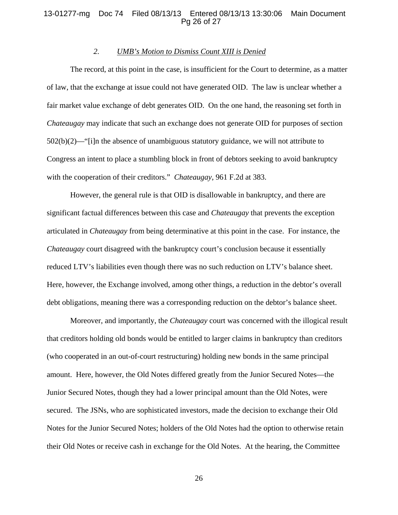#### 13-01277-mg Doc 74 Filed 08/13/13 Entered 08/13/13 13:30:06 Main Document Pg 26 of 27

# *2. UMB's Motion to Dismiss Count XIII is Denied*

The record, at this point in the case, is insufficient for the Court to determine, as a matter of law, that the exchange at issue could not have generated OID. The law is unclear whether a fair market value exchange of debt generates OID. On the one hand, the reasoning set forth in *Chateaugay* may indicate that such an exchange does not generate OID for purposes of section  $502(b)(2)$ —"[i]n the absence of unambiguous statutory guidance, we will not attribute to Congress an intent to place a stumbling block in front of debtors seeking to avoid bankruptcy with the cooperation of their creditors." *Chateaugay*, 961 F.2d at 383.

However, the general rule is that OID is disallowable in bankruptcy, and there are significant factual differences between this case and *Chateaugay* that prevents the exception articulated in *Chateaugay* from being determinative at this point in the case. For instance, the *Chateaugay* court disagreed with the bankruptcy court's conclusion because it essentially reduced LTV's liabilities even though there was no such reduction on LTV's balance sheet. Here, however, the Exchange involved, among other things, a reduction in the debtor's overall debt obligations, meaning there was a corresponding reduction on the debtor's balance sheet.

Moreover, and importantly, the *Chateaugay* court was concerned with the illogical result that creditors holding old bonds would be entitled to larger claims in bankruptcy than creditors (who cooperated in an out-of-court restructuring) holding new bonds in the same principal amount. Here, however, the Old Notes differed greatly from the Junior Secured Notes—the Junior Secured Notes, though they had a lower principal amount than the Old Notes, were secured. The JSNs, who are sophisticated investors, made the decision to exchange their Old Notes for the Junior Secured Notes; holders of the Old Notes had the option to otherwise retain their Old Notes or receive cash in exchange for the Old Notes. At the hearing, the Committee